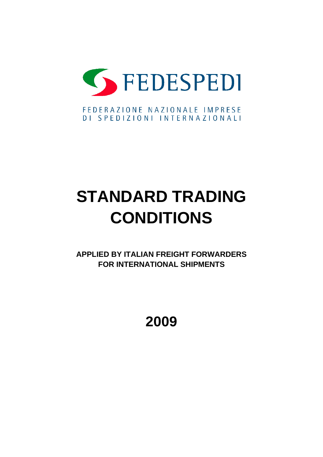

# **STANDARD TRADING CONDITIONS**

**APPLIED BY ITALIAN FREIGHT FORWARDERS FOR INTERNATIONAL SHIPMENTS**

**2009**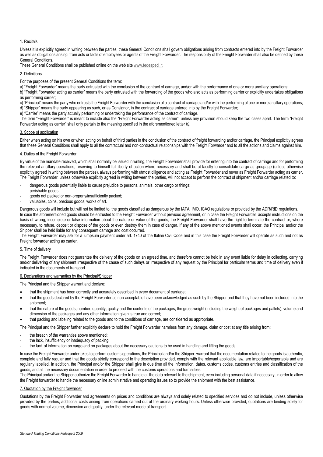# 1. Recitals

Unless it is explicitly agreed in writing between the parties, these General Conditions shall govern obligations arising from contracts entered into by the Freight Forwarder as well as obligations arising from acts or facts of employees or agents of the Freight Forwarder. The responsibility of the Freight Forwarder shall also be defined by these General Conditions.

These General Conditions shall be published online on the web site [www.fedespedi.it.](http://www.fedespedi.it/)

#### 2. Definitions

For the purposes of the present General Conditions the term:

a) "Freight Forwarder" means the party entrusted with the conclusion of the contract of carriage, and/or with the performance of one or more ancillary operations;

b) "Freight Forwarder acting as carrier" means the party entrusted with the forwarding of the goods who also acts as performing carrier or explicitly undertakes obligations as performing carrier;

c) "Principal" means the party who entrusts the Freight Forwarder with the conclusion of a contract of carriage and/or with the performing of one or more ancillary operations; d) "Shipper" means the party appearing as such, or as Consignor, in the contract of carriage entered into by the Freight Forwarder;

e) "Carrier" means the party actually performing or undertaking the performance of the contract of carriage.

The term "Freight Forwarder" is meant to include also the "Freight Forwarder acting as carrier", unless any provision should keep the two cases apart. The term "Freight Forwarder acting as carrier" shall only pertain to the meaning specified in the aforementioned letter *b)*.

## 3. Scope of application

Either when acting on his own or when acting on behalf of third parties in the conclusion of the contract of freight forwarding and/or carriage, the Principal explicitly agrees that these General Conditions shall apply to all the contractual and non-contractual relationships with the Freight Forwarder and to all the actions and claims against him.

#### 4. Duties of the Freight Forwarder

By virtue of the mandate received, which shall normally be issued in writing, the Freight Forwarder shall provide for entering into the contract of carriage and for performing the relevant ancillary operations, reserving to himself full liberty of action where necessary and shall be at faculty to consolidate cargo as groupage (unless otherwise explicitly agreed in writing between the parties), always performing with utmost diligence and acting as Freight Forwarder and never as Freight Forwarder acting as carrier. The Freight Forwarder, unless otherwise explicitly agreed in writing between the parties, will not accept to perform the contract of shipment and/or carriage related to:

- dangerous goods potentially liable to cause prejudice to persons, animals, other cargo or things;
- perishable goods;
- goods not packed or non-properly/insufficiently packed;
- valuables, coins, precious goods, works of art.

Dangerous goods will include but will not be limited to, the goods classified as dangerous by the IATA, IMO, ICAO regulations or provided by the ADR/RID regulations. In case the aforementioned goods should be entrusted to the Freight Forwarder without previous agreement, or in case the Freight Forwarder accepts instructions on the basis of wrong, incomplete or false information about the nature or value of the goods, the Freight Forwarder shall have the right to terminate the contract or, where necessary, to refuse, deposit or dispose of the goods or even destroy them in case of danger. If any of the above mentioned events shall occur, the Principal and/or the Shipper shall be held liable for any consequent damage and cost occurred.

The Freight Forwarder may ask for a lumpsum payment under art. 1740 of the Italian Civil Code and in this case the Freight Forwarder will operate as such and not as Freight forwarder acting as carrier.

## 5. Time of delivery

The Freight Forwarder does not guarantee the delivery of the goods on an agreed time, and therefore cannot be held in any event liable for delay in collecting, carrying and/or delivering of any shipment irrespective of the cause of such delays or irrespective of any request by the Principal for particular terms and time of delivery even if indicated in the documents of transport.

# 6. Declarations and warranties by the Principal/Shipper

The Principal and the Shipper warrant and declare:

- that the shipment has been correctly and accurately described in every document of carriage;
- that the goods declared by the Freight Forwarder as non-acceptable have been acknowledged as such by the Shipper and that they have not been included into the shipment;
- that the nature of the goods, number, quantity, quality and the contents of the packages, the gross weight (including the weight of packages and pallets), volume and dimension of the packages and any other information given is true and correct;
- that packing and labeling related to the goods and to the conditions of carriage, are considered as appropriate.

The Principal and the Shipper further explicitly declare to hold the Freight Forwarder harmless from any damage, claim or cost at any title arising from:

- the breach of the warranties above mentioned:
- the lack, insufficiency or inadequacy of packing;
- the lack of information on cargo and on packages about the necessary cautions to be used in handling and lifting the goods.

In case the Freight Forwarder undertakes to perform customs operations, the Principal and/or the Shipper, warrant that the documentation related to the goods is authentic, complete and fully regular and that the goods strictly correspond to the description provided, comply with the relevant applicable law, are importable/exportable and are regularly labelled. In addition, the Principal and/or the Shipper shall give in due time all the information, dates, customs codes, customs entries and classification of the goods, and all the necessary documentation in order to proceed with the customs operations and formalities.

The Principal and/or the Shipper authorize the Freight Forwarder to handle all the data relevant to the shipment, even including personal data if necessary, in order to allow the Freight forwarder to handle the necessary online administrative and operating issues so to provide the shipment with the best assistance.

# 7. Quotation by the Freight forwarder

Quotations by the Freight Forwarder and agreements on prices and conditions are always and solely related to specified services and do not include, unless otherwise provided by the parties, additional costs arising from operations carried out of the ordinary working hours. Unless otherwise provided, quotations are binding solely for goods with normal volume, dimension and quality, under the relevant mode of transport.